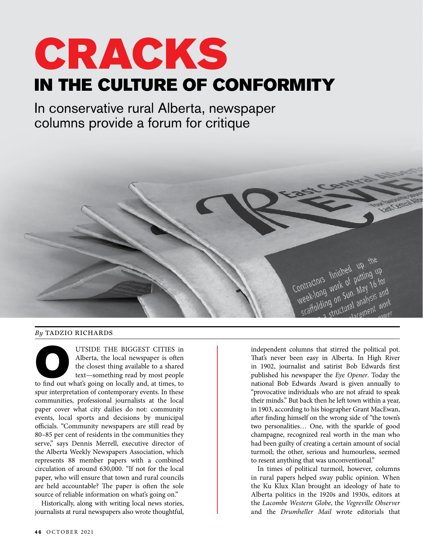## CRACKS IN THE CULTURE OF CONFORMITY

In conservative rural Alberta, newspaper columns provide a forum for critique



## *By* TADZIO RICHARDS

UTSIDE THE BIGGEST CITIES in<br>
Alberta, the local newspaper is often<br>
the closest thing available to a shared<br>
text—something read by most people<br>
to find out what's going on locally and, at times, to Alberta, the local newspaper is often the closest thing available to a shared text—something read by most people spur interpretation of contemporary events. In these communities, professional journalists at the local paper cover what city dailies do not: community events, local sports and decisions by municipal officials. "Community newspapers are still read by 80–85 per cent of residents in the communities they serve," says Dennis Merrell, executive director of the Alberta Weekly Newspapers Association, which represents 88 member papers with a combined circulation of around 630,000. "If not for the local paper, who will ensure that town and rural councils are held accountable? The paper is often the sole source of reliable information on what's going on."

Historically, along with writing local news stories, journalists at rural newspapers also wrote thoughtful, independent columns that stirred the political pot. That's never been easy in Alberta. In High River in 1902, journalist and satirist Bob Edwards first published his newspaper the *Eye Opener*. Today the national Bob Edwards Award is given annually to "provocative individuals who are not afraid to speak their minds." But back then he left town within a year, in 1903, according to his biographer Grant MacEwan, after finding himself on the wrong side of "the town's two personalities… One, with the sparkle of good champagne, recognized real worth in the man who had been guilty of creating a certain amount of social turmoil; the other, serious and humourless, seemed to resent anything that was unconventional."

In times of political turmoil, however, columns in rural papers helped sway public opinion. When the Ku Klux Klan brought an ideology of hate to Alberta politics in the 1920s and 1930s, editors at the *Lacombe Western Globe*, the *Vegreville Observer*  and the *Drumheller Mail* wrote editorials that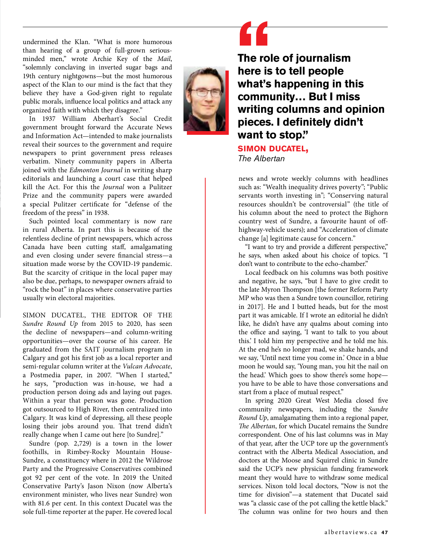undermined the Klan. "What is more humorous than hearing of a group of full-grown seriousminded men," wrote Archie Key of the *Mail*, "solemnly conclaving in inverted sugar bags and 19th century nightgowns—but the most humorous aspect of the Klan to our mind is the fact that they believe they have a God-given right to regulate public morals, influence local politics and attack any organized faith with which they disagree."

In 1937 William Aberhart's Social Credit government brought forward the Accurate News and Information Act—intended to make journalists reveal their sources to the government and require newspapers to print government press releases verbatim. Ninety community papers in Alberta joined with the *Edmonton Journal* in writing sharp editorials and launching a court case that helped kill the Act. For this the *Journal* won a Pulitzer Prize and the community papers were awarded a special Pulitzer certificate for "defense of the freedom of the press" in 1938.

Such pointed local commentary is now rare in rural Alberta. In part this is because of the relentless decline of print newspapers, which across Canada have been cutting staff, amalgamating and even closing under severe financial stress—a situation made worse by the COVID-19 pandemic. But the scarcity of critique in the local paper may also be due, perhaps, to newspaper owners afraid to "rock the boat" in places where conservative parties usually win electoral majorities.

SIMON DUCATEL, THE EDITOR OF THE *Sundre Round Up* from 2015 to 2020, has seen the decline of newspapers—and column-writing opportunities—over the course of his career. He graduated from the SAIT journalism program in Calgary and got his first job as a local reporter and semi-regular column writer at the *Vulcan Advocate*, a Postmedia paper, in 2007. "When I started," he says, "production was in-house, we had a production person doing ads and laying out pages. Within a year that person was gone. Production got outsourced to High River, then centralized into Calgary. It was kind of depressing, all these people losing their jobs around you. That trend didn't really change when I came out here [to Sundre]."

Sundre (pop. 2,729) is a town in the lower foothills, in Rimbey-Rocky Mountain House-Sundre, a constituency where in 2012 the Wildrose Party and the Progressive Conservatives combined got 92 per cent of the vote. In 2019 the United Conservative Party's Jason Nixon (now Alberta's environment minister, who lives near Sundre) won with 81.6 per cent. In this context Ducatel was the sole full-time reporter at the paper. He covered local



**The role of journalism here is to tell people what's happening in this community… But I miss writing columns and opinion pieces. I definitely didn't want to stop."** 

**simon ducatel,** *The Albertan*

news and wrote weekly columns with headlines such as: "Wealth inequality drives poverty"; "Public servants worth investing in"; "Conserving natural resources shouldn't be controversial" (the title of his column about the need to protect the Bighorn country west of Sundre, a favourite haunt of offhighway-vehicle users); and "Acceleration of climate change [a] legitimate cause for concern."

"I want to try and provide a different perspective," he says, when asked about his choice of topics. "I don't want to contribute to the echo-chamber."

Local feedback on his columns was both positive and negative, he says, "but I have to give credit to the late Myron Thompson [the former Reform Party MP who was then a Sundre town councillor, retiring in 2017]. He and I butted heads, but for the most part it was amicable. If I wrote an editorial he didn't like, he didn't have any qualms about coming into the office and saying, 'I want to talk to you about this.' I told him my perspective and he told me his. At the end he's no longer mad, we shake hands, and we say, 'Until next time you come in.' Once in a blue moon he would say, 'Young man, you hit the nail on the head.' Which goes to show there's some hope you have to be able to have those conversations and start from a place of mutual respect."

In spring 2020 Great West Media closed five community newspapers, including the *Sundre Round Up*, amalgamating them into a regional paper, *The Albertan*, for which Ducatel remains the Sundre correspondent. One of his last columns was in May of that year, after the UCP tore up the government's contract with the Alberta Medical Association, and doctors at the Moose and Squirrel clinic in Sundre said the UCP's new physician funding framework meant they would have to withdraw some medical services. Nixon told local doctors, "Now is not the time for division"—a statement that Ducatel said was "a classic case of the pot calling the kettle black." The column was online for two hours and then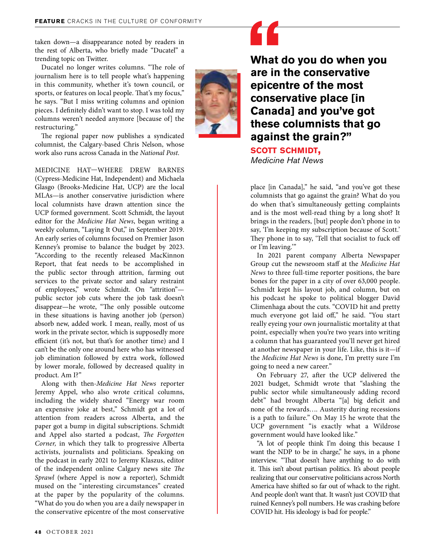taken down—a disappearance noted by readers in the rest of Alberta, who briefly made "Ducatel" a trending topic on Twitter.

Ducatel no longer writes columns. "The role of journalism here is to tell people what's happening in this community, whether it's town council, or sports, or features on local people. That's my focus," he says. "But I miss writing columns and opinion pieces. I definitely didn't want to stop. I was told my columns weren't needed anymore [because of] the restructuring."

The regional paper now publishes a syndicated columnist, the Calgary-based Chris Nelson, whose work also runs across Canada in the *National Post*.

MEDICINE HAT—WHERE DREW BARNES (Cypress-Medicine Hat, Independent) and Michaela Glasgo (Brooks-Medicine Hat, UCP) are the local MLAs—is another conservative jurisdiction where local columnists have drawn attention since the UCP formed government. Scott Schmidt, the layout editor for the *Medicine Hat News*, began writing a weekly column, "Laying It Out," in September 2019. An early series of columns focused on Premier Jason Kenney's promise to balance the budget by 2023. "According to the recently released MacKinnon Report, that feat needs to be accomplished in the public sector through attrition, farming out services to the private sector and salary restraint of employees," wrote Schmidt. On "attrition" public sector job cuts where the job task doesn't disappear—he wrote, "The only possible outcome in these situations is having another job (person) absorb new, added work. I mean, really, most of us work in the private sector, which is supposedly more efficient (it's not, but that's for another time) and I can't be the only one around here who has witnessed job elimination followed by extra work, followed by lower morale, followed by decreased quality in product. Am I?"

Along with then-*Medicine Hat News* reporter Jeremy Appel, who also wrote critical columns, including the widely shared "Energy war room an expensive joke at best," Schmidt got a lot of attention from readers across Alberta, and the paper got a bump in digital subscriptions. Schmidt and Appel also started a podcast, *The Forgotten Corner,* in which they talk to progressive Alberta activists, journalists and politicians. Speaking on the podcast in early 2021 to Jeremy Klaszus, editor of the independent online Calgary news site *The Sprawl* (where Appel is now a reporter), Schmidt mused on the "interesting circumstances" created at the paper by the popularity of the columns. "What do you do when you are a daily newspaper in the conservative epicentre of the most conservative



**What do you do when you are in the conservative epicentre of the most conservative place [in Canada] and you've got these columnists that go against the grain?"**

**scott schmidt,** *Medicine Hat News*

place [in Canada]," he said, "and you've got these columnists that go against the grain? What do you do when that's simultaneously getting complaints and is the most well-read thing by a long shot? It brings in the readers, [but] people don't phone in to say, 'I'm keeping my subscription because of Scott.' They phone in to say, 'Tell that socialist to fuck off or I'm leaving.'"

In 2021 parent company Alberta Newspaper Group cut the newsroom staff at the *Medicine Hat News* to three full-time reporter positions, the bare bones for the paper in a city of over 63,000 people. Schmidt kept his layout job, and column, but on his podcast he spoke to political blogger David Climenhaga about the cuts. "COVID hit and pretty much everyone got laid off," he said. "You start really eyeing your own journalistic mortality at that point, especially when you're two years into writing a column that has guaranteed you'll never get hired at another newspaper in your life. Like, this is it—if the *Medicine Hat News* is done, I'm pretty sure I'm going to need a new career."

On February 27, after the UCP delivered the 2021 budget, Schmidt wrote that "slashing the public sector while simultaneously adding record debt" had brought Alberta "[a] big deficit and none of the rewards…. Austerity during recessions is a path to failure." On May 15 he wrote that the UCP government "is exactly what a Wildrose government would have looked like."

"A lot of people think I'm doing this because I want the NDP to be in charge," he says, in a phone interview. "That doesn't have anything to do with it. This isn't about partisan politics. It's about people realizing that our conservative politicians across North America have shifted so far out of whack to the right. And people don't want that. It wasn't just COVID that ruined Kenney's poll numbers. He was crashing before COVID hit. His ideology is bad for people."